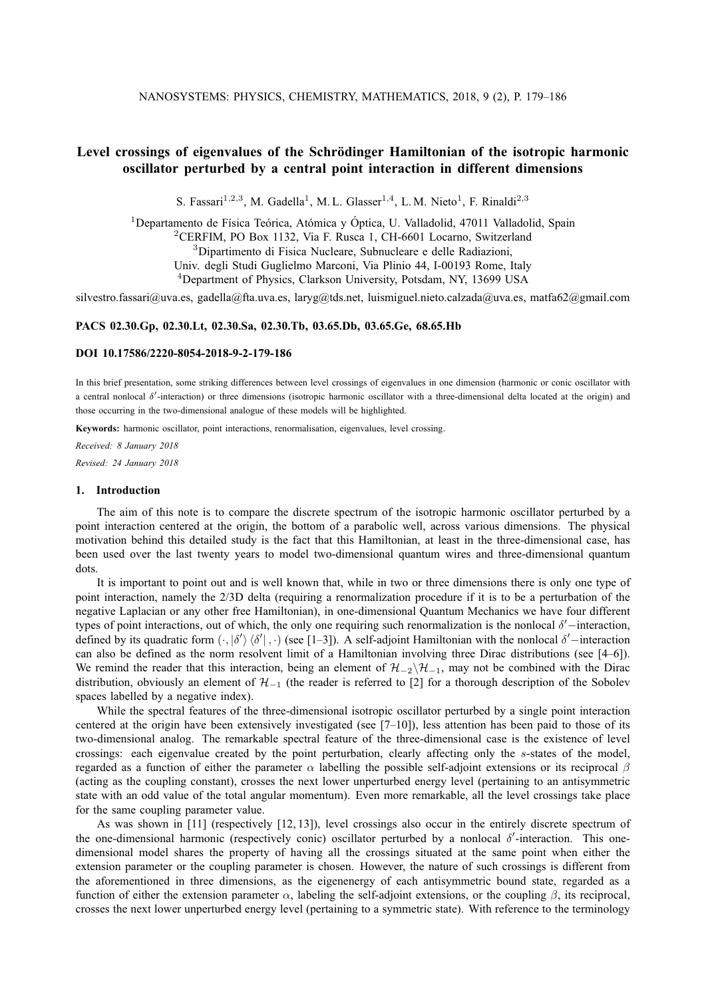# Level crossings of eigenvalues of the Schrödinger Hamiltonian of the isotropic harmonic **oscillator perturbed by a central point interaction in different dimensions**

S. Fassari<sup>1,2,3</sup>, M. Gadella<sup>1</sup>, M. L. Glasser<sup>1,4</sup>, L. M. Nieto<sup>1</sup>, F. Rinaldi<sup>2,3</sup>

<sup>1</sup>Departamento de Física Teórica, Atómica y Óptica, U. Valladolid, 47011 Valladolid, Spain <sup>2</sup>CERFIM, PO Box 1132, Via F. Rusca 1, CH-6601 Locarno, Switzerland <sup>3</sup>Dipartimento di Fisica Nucleare, Subnucleare e delle Radiazioni, Univ. degli Studi Guglielmo Marconi, Via Plinio 44, I-00193 Rome, Italy <sup>4</sup>Department of Physics, Clarkson University, Potsdam, NY, 13699 USA

silvestro.fassari@uva.es, gadella@fta.uva.es, laryg@tds.net, luismiguel.nieto.calzada@uva.es, matfa62@gmail.com

### **PACS 02.30.Gp, 02.30.Lt, 02.30.Sa, 02.30.Tb, 03.65.Db, 03.65.Ge, 68.65.Hb**

### **DOI 10.17586/2220-8054-2018-9-2-179-186**

In this brief presentation, some striking differences between level crossings of eigenvalues in one dimension (harmonic or conic oscillator with a central nonlocal δ'-interaction) or three dimensions (isotropic harmonic oscillator with a three-dimensional delta located at the origin) and those occurring in the two-dimensional analogue of these models will be highlighted.

**Keywords:** harmonic oscillator, point interactions, renormalisation, eigenvalues, level crossing.

*Received: 8 January 2018 Revised: 24 January 2018*

#### **1. Introduction**

The aim of this note is to compare the discrete spectrum of the isotropic harmonic oscillator perturbed by a point interaction centered at the origin, the bottom of a parabolic well, across various dimensions. The physical motivation behind this detailed study is the fact that this Hamiltonian, at least in the three-dimensional case, has been used over the last twenty years to model two-dimensional quantum wires and three-dimensional quantum dots.

It is important to point out and is well known that, while in two or three dimensions there is only one type of point interaction, namely the 2/3D delta (requiring a renormalization procedure if it is to be a perturbation of the negative Laplacian or any other free Hamiltonian), in one-dimensional Quantum Mechanics we have four different types of point interactions, out of which, the only one requiring such renormalization is the nonlocal  $\delta'$  – interaction, defined by its quadratic form  $\langle \cdot, |\delta'\rangle \langle \delta' | \cdot \cdot \rangle$  (see [1–3]). A self-adjoint Hamiltonian with the nonlocal  $\delta'$ -interaction can also be defined as the norm resolvent limit of a Hamiltonian involving three Dirac distributions (see [4–6]). We remind the reader that this interaction, being an element of  $\mathcal{H}_{-2}\backslash\mathcal{H}_{-1}$ , may not be combined with the Dirac distribution, obviously an element of  $\mathcal{H}_{-1}$  (the reader is referred to [2] for a thorough description of the Sobolev spaces labelled by a negative index).

While the spectral features of the three-dimensional isotropic oscillator perturbed by a single point interaction centered at the origin have been extensively investigated (see  $[7-10]$ ), less attention has been paid to those of its two-dimensional analog. The remarkable spectral feature of the three-dimensional case is the existence of level crossings: each eigenvalue created by the point perturbation, clearly affecting only the s-states of the model, regarded as a function of either the parameter α labelling the possible self-adjoint extensions or its reciprocal β (acting as the coupling constant), crosses the next lower unperturbed energy level (pertaining to an antisymmetric state with an odd value of the total angular momentum). Even more remarkable, all the level crossings take place for the same coupling parameter value.

As was shown in [11] (respectively [12, 13]), level crossings also occur in the entirely discrete spectrum of the one-dimensional harmonic (respectively conic) oscillator perturbed by a nonlocal  $\delta'$ -interaction. This onedimensional model shares the property of having all the crossings situated at the same point when either the extension parameter or the coupling parameter is chosen. However, the nature of such crossings is different from the aforementioned in three dimensions, as the eigenenergy of each antisymmetric bound state, regarded as a function of either the extension parameter  $\alpha$ , labeling the self-adjoint extensions, or the coupling  $\beta$ , its reciprocal, crosses the next lower unperturbed energy level (pertaining to a symmetric state). With reference to the terminology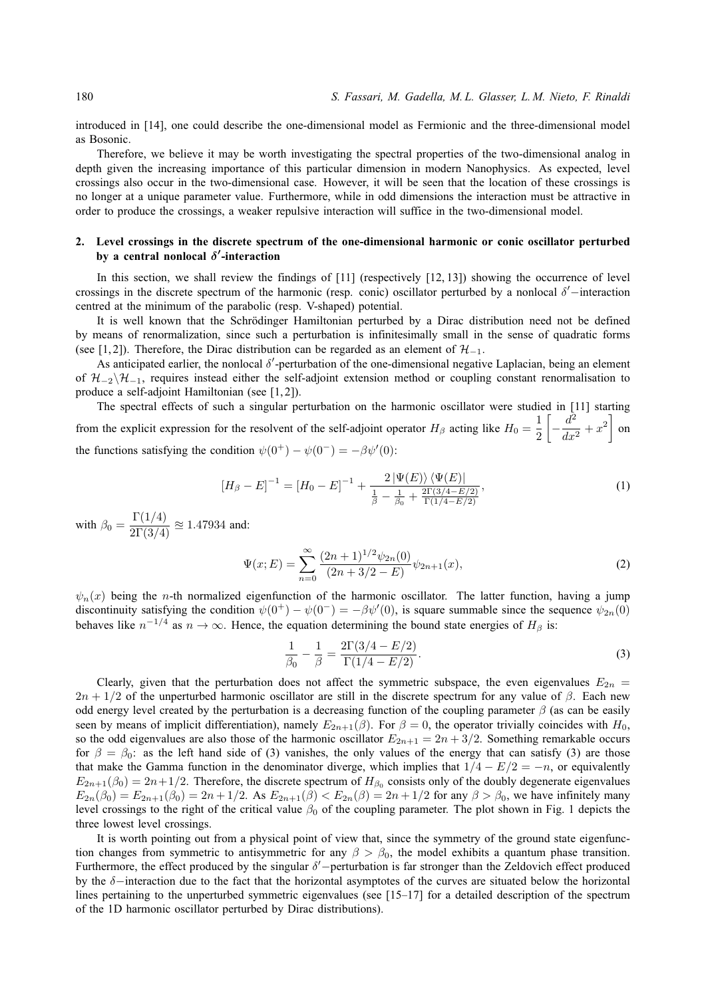introduced in [14], one could describe the one-dimensional model as Fermionic and the three-dimensional model as Bosonic.

Therefore, we believe it may be worth investigating the spectral properties of the two-dimensional analog in depth given the increasing importance of this particular dimension in modern Nanophysics. As expected, level crossings also occur in the two-dimensional case. However, it will be seen that the location of these crossings is no longer at a unique parameter value. Furthermore, while in odd dimensions the interaction must be attractive in order to produce the crossings, a weaker repulsive interaction will suffice in the two-dimensional model.

# **2. Level crossings in the discrete spectrum of the one-dimensional harmonic or conic oscillator perturbed by a central nonlocal** δ 0 **-interaction**

In this section, we shall review the findings of [11] (respectively [12, 13]) showing the occurrence of level crossings in the discrete spectrum of the harmonic (resp. conic) oscillator perturbed by a nonlocal  $\delta'$ -interaction centred at the minimum of the parabolic (resp. V-shaped) potential.

It is well known that the Schrödinger Hamiltonian perturbed by a Dirac distribution need not be defined by means of renormalization, since such a perturbation is infinitesimally small in the sense of quadratic forms (see [1,2]). Therefore, the Dirac distribution can be regarded as an element of  $\mathcal{H}_{-1}$ .

As anticipated earlier, the nonlocal  $\delta'$ -perturbation of the one-dimensional negative Laplacian, being an element of  $\mathcal{H}_{-2}\backslash\mathcal{H}_{-1}$ , requires instead either the self-adjoint extension method or coupling constant renormalisation to produce a self-adjoint Hamiltonian (see [1, 2]).

The spectral effects of such a singular perturbation on the harmonic oscillator were studied in [11] starting from the explicit expression for the resolvent of the self-adjoint operator  $H_\beta$  acting like  $H_0 = \frac{1}{2}$ 2  $\left[-\frac{d^2}{4}\right]$  $\left[\frac{d^2}{dx^2} + x^2\right]$  on the functions satisfying the condition  $\psi(0^+) - \psi(0^-) = -\beta \psi'(0)$ :

$$
[H_{\beta} - E]^{-1} = [H_0 - E]^{-1} + \frac{2|\Psi(E)\rangle\langle\Psi(E)|}{\frac{1}{\beta} - \frac{1}{\beta_0} + \frac{2\Gamma(3/4 - E/2)}{\Gamma(1/4 - E/2)}},\tag{1}
$$

with  $\beta_0 = \frac{\Gamma(1/4)}{2\Gamma(3/4)} \approx 1.47934$  and:

$$
\Psi(x;E) = \sum_{n=0}^{\infty} \frac{(2n+1)^{1/2} \psi_{2n}(0)}{(2n+3/2-E)} \psi_{2n+1}(x),\tag{2}
$$

 $\psi_n(x)$  being the *n*-th normalized eigenfunction of the harmonic oscillator. The latter function, having a jump discontinuity satisfying the condition  $\psi(0^+) - \psi(0^-) = -\beta \psi'(0)$ , is square summable since the sequence  $\psi_{2n}(0)$ behaves like  $n^{-1/4}$  as  $n \to \infty$ . Hence, the equation determining the bound state energies of  $H_\beta$  is:

$$
\frac{1}{\beta_0} - \frac{1}{\beta} = \frac{2\Gamma(3/4 - E/2)}{\Gamma(1/4 - E/2)}.
$$
\n(3)

Clearly, given that the perturbation does not affect the symmetric subspace, the even eigenvalues  $E_{2n}$  =  $2n + 1/2$  of the unperturbed harmonic oscillator are still in the discrete spectrum for any value of  $\beta$ . Each new odd energy level created by the perturbation is a decreasing function of the coupling parameter  $\beta$  (as can be easily seen by means of implicit differentiation), namely  $E_{2n+1}(\beta)$ . For  $\beta = 0$ , the operator trivially coincides with  $H_0$ , so the odd eigenvalues are also those of the harmonic oscillator  $E_{2n+1} = 2n + 3/2$ . Something remarkable occurs for  $\beta = \beta_0$ : as the left hand side of (3) vanishes, the only values of the energy that can satisfy (3) are those that make the Gamma function in the denominator diverge, which implies that  $1/4 - E/2 = -n$ , or equivalently  $E_{2n+1}(\beta_0) = 2n+1/2$ . Therefore, the discrete spectrum of  $H_{\beta_0}$  consists only of the doubly degenerate eigenvalues  $E_{2n}(\beta_0) = E_{2n+1}(\beta_0) = 2n + 1/2$ . As  $E_{2n+1}(\beta) < E_{2n}(\beta) = 2n + 1/2$  for any  $\beta > \beta_0$ , we have infinitely many level crossings to the right of the critical value  $\beta_0$  of the coupling parameter. The plot shown in Fig. 1 depicts the three lowest level crossings.

It is worth pointing out from a physical point of view that, since the symmetry of the ground state eigenfunction changes from symmetric to antisymmetric for any  $\beta > \beta_0$ , the model exhibits a quantum phase transition. Furthermore, the effect produced by the singular  $\delta'$ -perturbation is far stronger than the Zeldovich effect produced by the δ−interaction due to the fact that the horizontal asymptotes of the curves are situated below the horizontal lines pertaining to the unperturbed symmetric eigenvalues (see [15–17] for a detailed description of the spectrum of the 1D harmonic oscillator perturbed by Dirac distributions).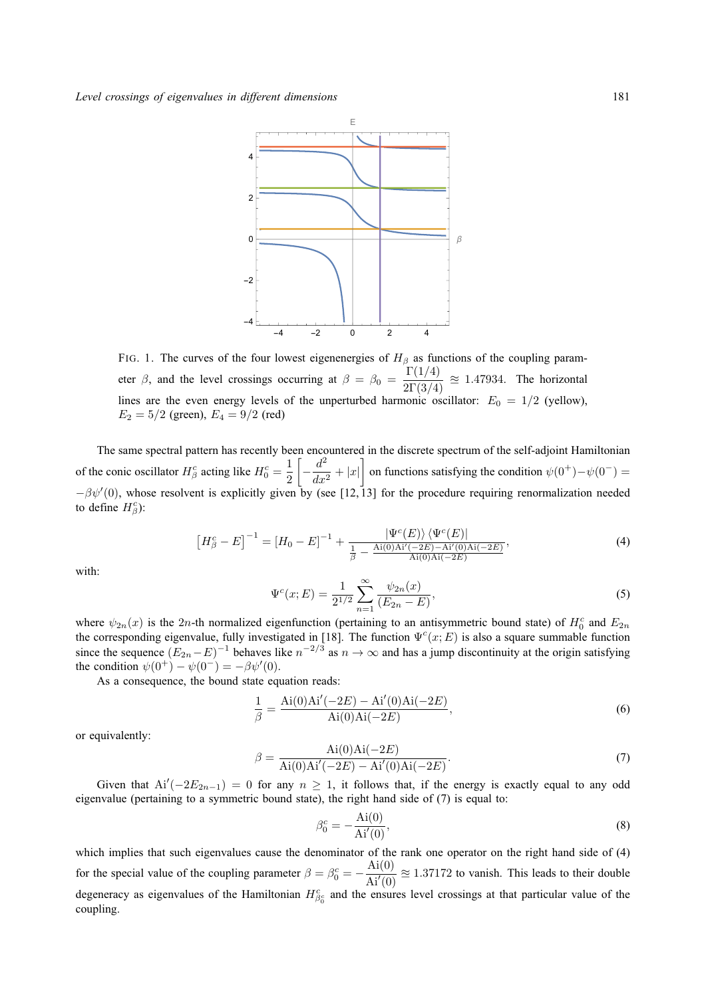

FIG. 1. The curves of the four lowest eigenenergies of  $H_\beta$  as functions of the coupling parameter  $\beta$ , and the level crossings occurring at  $\beta = \beta_0 = \frac{\Gamma(1/4)}{2\Gamma(3/4)} \approx 1.47934$ . The horizontal lines are the even energy levels of the unperturbed harmonic oscillator:  $E_0 = 1/2$  (yellow),  $E_2 = 5/2$  (green),  $E_4 = 9/2$  (red)

The same spectral pattern has recently been encountered in the discrete spectrum of the self-adjoint Hamiltonian of the conic oscillator  $H^c_\beta$  acting like  $H^c_0 = \frac{1}{2}$ 2  $\left[-\frac{d^2}{4}\right]$  $\left\{\frac{d^2}{dx^2} + |x|\right\}$  on functions satisfying the condition  $\psi(0^+) - \psi(0^-) = 0$  $-\beta\psi'(0)$ , whose resolvent is explicitly given by (see [12,13] for the procedure requiring renormalization needed to define  $H^c_\beta$ ):

$$
\left[H_{\beta}^{c}-E\right]^{-1}=\left[H_{0}-E\right]^{-1}+\frac{|\Psi^{c}(E)\rangle\langle\Psi^{c}(E)|}{\frac{1}{\beta}-\frac{\text{Ai}(0)\text{Ai}'(-2E)-\text{Ai}'(0)\text{Ai}(-2E)}{\text{Ai}(0)\text{Ai}(-2E)}},\tag{4}
$$

with:

$$
\Psi^{c}(x;E) = \frac{1}{2^{1/2}} \sum_{n=1}^{\infty} \frac{\psi_{2n}(x)}{(E_{2n} - E)},
$$
\n(5)

where  $\psi_{2n}(x)$  is the 2n-th normalized eigenfunction (pertaining to an antisymmetric bound state) of  $H_0^c$  and  $E_{2n}$ the corresponding eigenvalue, fully investigated in [18]. The function  $\Psi^c(x; E)$  is also a square summable function since the sequence  $(E_{2n}-E)^{-1}$  behaves like  $n^{-2/3}$  as  $n \to \infty$  and has a jump discontinuity at the origin satisfying the condition  $\psi(0^+) - \psi(0^-) = -\beta \psi'(0)$ .

As a consequence, the bound state equation reads:

$$
\frac{1}{\beta} = \frac{\text{Ai}(0)\text{Ai}'(-2E) - \text{Ai}'(0)\text{Ai}(-2E)}{\text{Ai}(0)\text{Ai}(-2E)},
$$
\n(6)

or equivalently:

$$
\beta = \frac{\text{Ai}(0)\text{Ai}(-2E)}{\text{Ai}(0)\text{Ai}'(-2E) - \text{Ai}'(0)\text{Ai}(-2E)}.
$$
\n(7)

Given that  $Ai'(-2E_{2n-1}) = 0$  for any  $n \ge 1$ , it follows that, if the energy is exactly equal to any odd eigenvalue (pertaining to a symmetric bound state), the right hand side of (7) is equal to:

$$
\beta_0^c = -\frac{\text{Ai}(0)}{\text{Ai}'(0)},\tag{8}
$$

which implies that such eigenvalues cause the denominator of the rank one operator on the right hand side of (4) for the special value of the coupling parameter  $\beta = \beta_0^c = -\frac{\text{Ai}(0)}{\text{Ai}'(0)}$  $\frac{A_1(0)}{Ai'(0)} \approx 1.37172$  to vanish. This leads to their double degeneracy as eigenvalues of the Hamiltonian  $H_{\beta_0^c}^c$  and the ensures level crossings at that particular value of the coupling.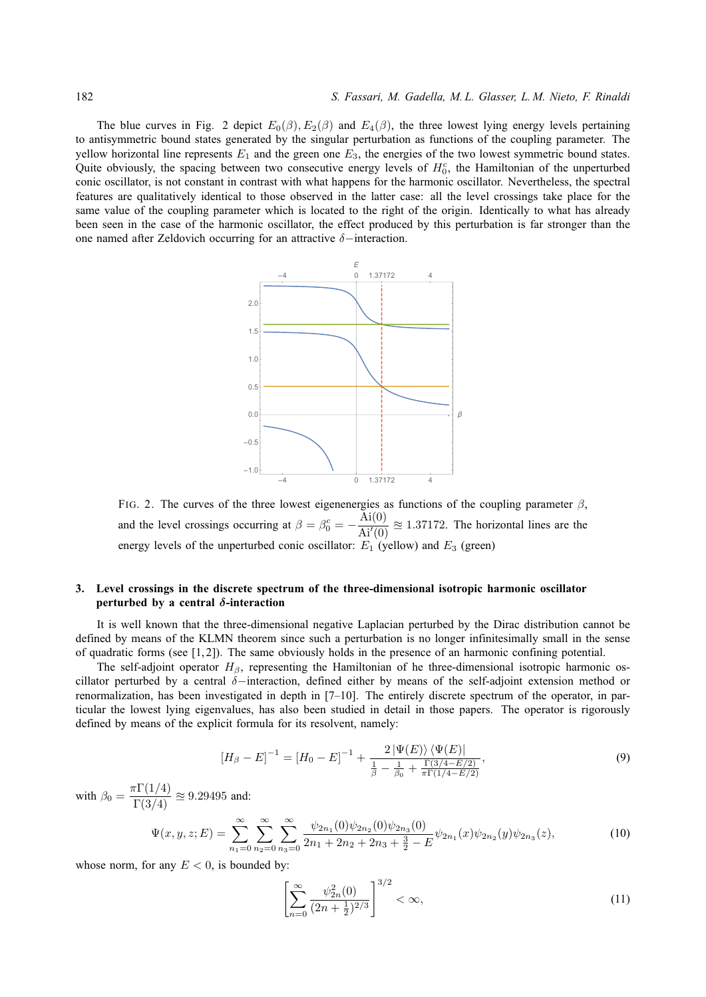The blue curves in Fig. 2 depict  $E_0(\beta)$ ,  $E_2(\beta)$  and  $E_4(\beta)$ , the three lowest lying energy levels pertaining to antisymmetric bound states generated by the singular perturbation as functions of the coupling parameter. The yellow horizontal line represents  $E_1$  and the green one  $E_3$ , the energies of the two lowest symmetric bound states. Quite obviously, the spacing between two consecutive energy levels of  $H_0^c$ , the Hamiltonian of the unperturbed conic oscillator, is not constant in contrast with what happens for the harmonic oscillator. Nevertheless, the spectral features are qualitatively identical to those observed in the latter case: all the level crossings take place for the same value of the coupling parameter which is located to the right of the origin. Identically to what has already been seen in the case of the harmonic oscillator, the effect produced by this perturbation is far stronger than the one named after Zeldovich occurring for an attractive  $\delta$ −interaction.



FIG. 2. The curves of the three lowest eigenenergies as functions of the coupling parameter  $\beta$ , and the level crossings occurring at  $\beta = \beta_0^c = -\frac{\text{Ai}(0)}{\text{Ai}'(0)}$  $\frac{A_1(0)}{Ai'(0)} \approx 1.37172$ . The horizontal lines are the energy levels of the unperturbed conic oscillator:  $E_1$  (yellow) and  $E_3$  (green)

# **3. Level crossings in the discrete spectrum of the three-dimensional isotropic harmonic oscillator perturbed by a central** δ**-interaction**

It is well known that the three-dimensional negative Laplacian perturbed by the Dirac distribution cannot be defined by means of the KLMN theorem since such a perturbation is no longer infinitesimally small in the sense of quadratic forms (see  $[1, 2]$ ). The same obviously holds in the presence of an harmonic confining potential.

The self-adjoint operator  $H_\beta$ , representing the Hamiltonian of he three-dimensional isotropic harmonic oscillator perturbed by a central δ−interaction, defined either by means of the self-adjoint extension method or renormalization, has been investigated in depth in [7–10]. The entirely discrete spectrum of the operator, in particular the lowest lying eigenvalues, has also been studied in detail in those papers. The operator is rigorously defined by means of the explicit formula for its resolvent, namely:

$$
[H_{\beta} - E]^{-1} = [H_0 - E]^{-1} + \frac{2|\Psi(E)\rangle\langle\Psi(E)|}{\frac{1}{\beta} - \frac{1}{\beta_0} + \frac{\Gamma(3/4 - E/2)}{\pi\Gamma(1/4 - E/2)}},\tag{9}
$$

with  $\beta_0 = \frac{\pi \Gamma(1/4)}{\Gamma(3/4)} \approx 9.29495$  and:

$$
\Psi(x,y,z;E) = \sum_{n_1=0}^{\infty} \sum_{n_2=0}^{\infty} \sum_{n_3=0}^{\infty} \frac{\psi_{2n_1}(0)\psi_{2n_2}(0)\psi_{2n_3}(0)}{2n_1 + 2n_2 + 2n_3 + \frac{3}{2} - E} \psi_{2n_1}(x)\psi_{2n_2}(y)\psi_{2n_3}(z),
$$
\n(10)

whose norm, for any  $E < 0$ , is bounded by:

$$
\left[\sum_{n=0}^{\infty} \frac{\psi_{2n}^2(0)}{(2n+\frac{1}{2})^{2/3}}\right]^{3/2} < \infty,\tag{11}
$$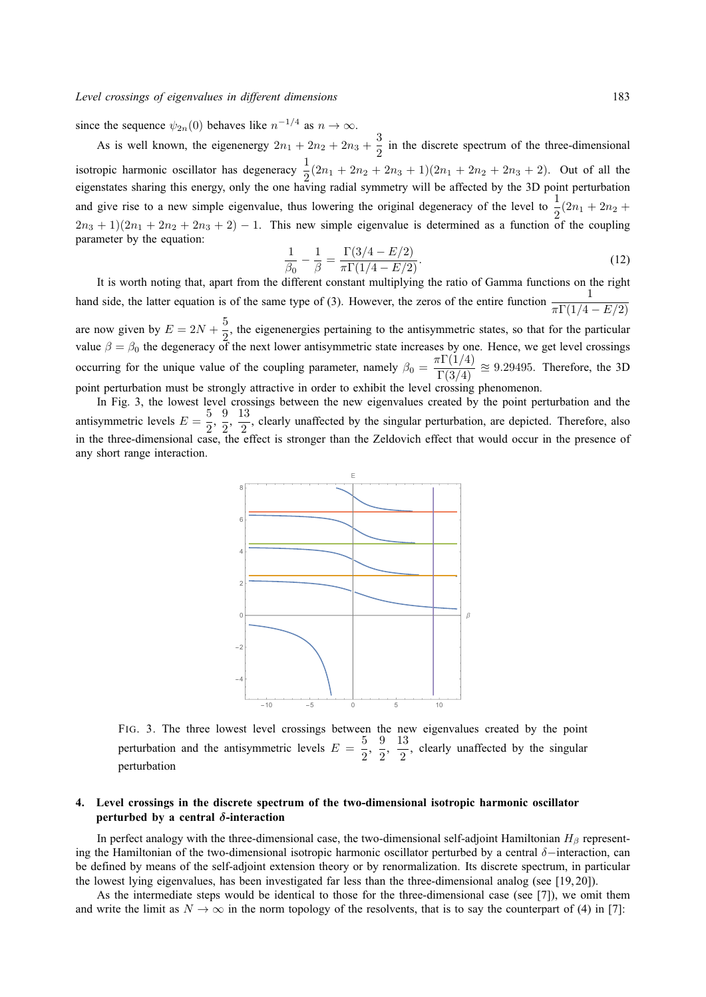since the sequence  $\psi_{2n}(0)$  behaves like  $n^{-1/4}$  as  $n \to \infty$ .

As is well known, the eigenenergy  $2n_1 + 2n_2 + 2n_3 + \frac{3}{2}$  $\frac{3}{2}$  in the discrete spectrum of the three-dimensional isotropic harmonic oscillator has degeneracy  $\frac{1}{2}(2n_1 + 2n_2 + 2n_3 + 1)(2n_1 + 2n_2 + 2n_3 + 2)$ . Out of all the eigenstates sharing this energy, only the one having radial symmetry will be affected by the 3D point perturbation and give rise to a new simple eigenvalue, thus lowering the original degeneracy of the level to  $\frac{1}{2}(2n_1 + 2n_2 +$  $2n_3 + 1(2n_1 + 2n_2 + 2n_3 + 2) - 1$ . This new simple eigenvalue is determined as a function of the coupling parameter by the equation:

$$
\frac{1}{\beta_0} - \frac{1}{\beta} = \frac{\Gamma(3/4 - E/2)}{\pi \Gamma(1/4 - E/2)}.
$$
\n(12)

It is worth noting that, apart from the different constant multiplying the ratio of Gamma functions on the right hand side, the latter equation is of the same type of (3). However, the zeros of the entire function  $\frac{1}{\pi \Gamma(1/4 - E/2)}$ are now given by  $E = 2N + \frac{5}{2}$  $\frac{1}{2}$ , the eigenenergies pertaining to the antisymmetric states, so that for the particular value  $\beta = \beta_0$  the degeneracy of the next lower antisymmetric state increases by one. Hence, we get level crossings occurring for the unique value of the coupling parameter, namely  $\beta_0 = \frac{\pi \Gamma(1/4)}{\Gamma(3/4)} \approx 9.29495$ . Therefore, the 3D point perturbation must be strongly attractive in order to exhibit the level crossing phenomenon.

In Fig. 3, the lowest level crossings between the new eigenvalues created by the point perturbation and the antisymmetric levels  $E = \frac{5}{2}$  $\frac{5}{2}, \frac{9}{2}$  $\frac{9}{2}, \frac{13}{2}$  $\frac{2}{2}$ , clearly unaffected by the singular perturbation, are depicted. Therefore, also in the three-dimensional case, the effect is stronger than the Zeldovich effect that would occur in the presence of any short range interaction.



FIG. 3. The three lowest level crossings between the new eigenvalues created by the point perturbation and the antisymmetric levels  $E = \frac{5}{2}$  $\frac{5}{2}, \frac{9}{2}$  $\frac{9}{2}, \frac{13}{2}$  $\frac{10}{2}$ , clearly unaffected by the singular perturbation

# **4. Level crossings in the discrete spectrum of the two-dimensional isotropic harmonic oscillator perturbed by a central** δ**-interaction**

In perfect analogy with the three-dimensional case, the two-dimensional self-adjoint Hamiltonian  $H_\beta$  representing the Hamiltonian of the two-dimensional isotropic harmonic oscillator perturbed by a central δ−interaction, can be defined by means of the self-adjoint extension theory or by renormalization. Its discrete spectrum, in particular the lowest lying eigenvalues, has been investigated far less than the three-dimensional analog (see [19, 20]).

As the intermediate steps would be identical to those for the three-dimensional case (see [7]), we omit them and write the limit as  $N \to \infty$  in the norm topology of the resolvents, that is to say the counterpart of (4) in [7]: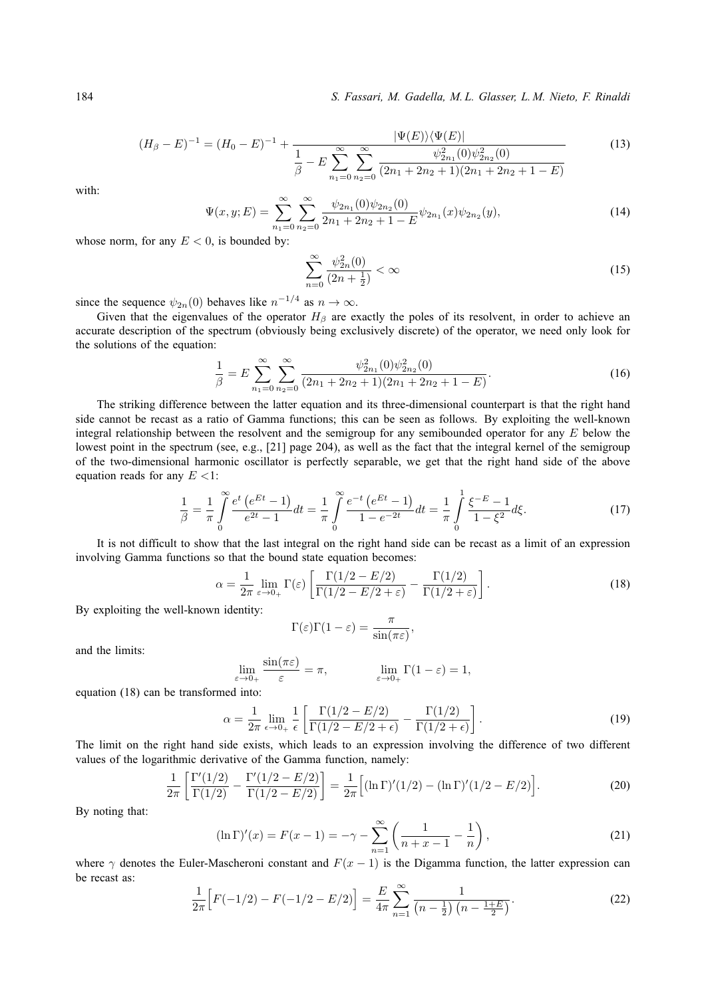$$
(H_{\beta} - E)^{-1} = (H_0 - E)^{-1} + \frac{|\Psi(E)\rangle\langle\Psi(E)|}{\frac{1}{\beta} - E\sum_{n_1=0}^{\infty}\sum_{n_2=0}^{\infty}\frac{\psi_{2n_1}^2(0)\psi_{2n_2}^2(0)}{(2n_1 + 2n_2 + 1)(2n_1 + 2n_2 + 1 - E)}}\tag{13}
$$

with:

$$
\Psi(x, y; E) = \sum_{n_1=0}^{\infty} \sum_{n_2=0}^{\infty} \frac{\psi_{2n_1}(0)\psi_{2n_2}(0)}{2n_1 + 2n_2 + 1 - E} \psi_{2n_1}(x)\psi_{2n_2}(y),
$$
\n(14)

whose norm, for any  $E < 0$ , is bounded by:

$$
\sum_{n=0}^{\infty} \frac{\psi_{2n}^2(0)}{(2n+\frac{1}{2})} < \infty \tag{15}
$$

since the sequence  $\psi_{2n}(0)$  behaves like  $n^{-1/4}$  as  $n \to \infty$ .

Given that the eigenvalues of the operator  $H_\beta$  are exactly the poles of its resolvent, in order to achieve an accurate description of the spectrum (obviously being exclusively discrete) of the operator, we need only look for the solutions of the equation:

$$
\frac{1}{\beta} = E \sum_{n_1=0}^{\infty} \sum_{n_2=0}^{\infty} \frac{\psi_{2n_1}^2(0)\psi_{2n_2}^2(0)}{(2n_1 + 2n_2 + 1)(2n_1 + 2n_2 + 1 - E)}.
$$
\n(16)

The striking difference between the latter equation and its three-dimensional counterpart is that the right hand side cannot be recast as a ratio of Gamma functions; this can be seen as follows. By exploiting the well-known integral relationship between the resolvent and the semigroup for any semibounded operator for any  $E$  below the lowest point in the spectrum (see, e.g., [21] page 204), as well as the fact that the integral kernel of the semigroup of the two-dimensional harmonic oscillator is perfectly separable, we get that the right hand side of the above equation reads for any  $E \leq 1$ :

$$
\frac{1}{\beta} = \frac{1}{\pi} \int_{0}^{\infty} \frac{e^t \left(e^{Et} - 1\right)}{e^{2t} - 1} dt = \frac{1}{\pi} \int_{0}^{\infty} \frac{e^{-t} \left(e^{Et} - 1\right)}{1 - e^{-2t}} dt = \frac{1}{\pi} \int_{0}^{1} \frac{\xi^{-E} - 1}{1 - \xi^2} d\xi. \tag{17}
$$

It is not difficult to show that the last integral on the right hand side can be recast as a limit of an expression involving Gamma functions so that the bound state equation becomes:

$$
\alpha = \frac{1}{2\pi} \lim_{\varepsilon \to 0+} \Gamma(\varepsilon) \left[ \frac{\Gamma(1/2 - E/2)}{\Gamma(1/2 - E/2 + \varepsilon)} - \frac{\Gamma(1/2)}{\Gamma(1/2 + \varepsilon)} \right]. \tag{18}
$$

By exploiting the well-known identity:

$$
\Gamma(\varepsilon)\Gamma(1-\varepsilon) = \frac{\pi}{\sin(\pi\varepsilon)},
$$

and the limits:

$$
\lim_{\varepsilon \to 0+} \frac{\sin(\pi \varepsilon)}{\varepsilon} = \pi, \qquad \lim_{\varepsilon \to 0+} \Gamma(1-\varepsilon) = 1,
$$

equation (18) can be transformed into:

$$
\alpha = \frac{1}{2\pi} \lim_{\epsilon \to 0+} \frac{1}{\epsilon} \left[ \frac{\Gamma(1/2 - E/2)}{\Gamma(1/2 - E/2 + \epsilon)} - \frac{\Gamma(1/2)}{\Gamma(1/2 + \epsilon)} \right].
$$
\n(19)

The limit on the right hand side exists, which leads to an expression involving the difference of two different values of the logarithmic derivative of the Gamma function, namely:

$$
\frac{1}{2\pi} \left[ \frac{\Gamma'(1/2)}{\Gamma(1/2)} - \frac{\Gamma'(1/2 - E/2)}{\Gamma(1/2 - E/2)} \right] = \frac{1}{2\pi} \left[ (\ln \Gamma)'(1/2) - (\ln \Gamma)'(1/2 - E/2) \right].
$$
 (20)

By noting that:

$$
(\ln \Gamma)'(x) = F(x - 1) = -\gamma - \sum_{n=1}^{\infty} \left( \frac{1}{n + x - 1} - \frac{1}{n} \right),\tag{21}
$$

where  $\gamma$  denotes the Euler-Mascheroni constant and  $F(x - 1)$  is the Digamma function, the latter expression can be recast as:

$$
\frac{1}{2\pi} \Big[ F(-1/2) - F(-1/2 - E/2) \Big] = \frac{E}{4\pi} \sum_{n=1}^{\infty} \frac{1}{\left( n - \frac{1}{2} \right) \left( n - \frac{1+E}{2} \right)}.
$$
\n(22)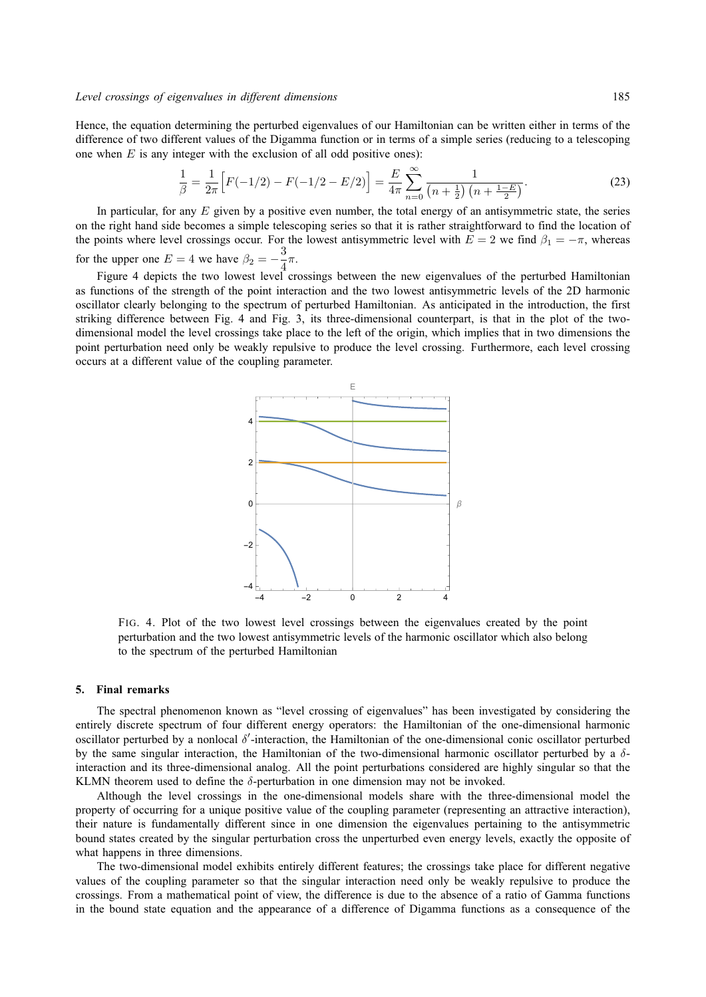Hence, the equation determining the perturbed eigenvalues of our Hamiltonian can be written either in terms of the difference of two different values of the Digamma function or in terms of a simple series (reducing to a telescoping one when  $E$  is any integer with the exclusion of all odd positive ones):

$$
\frac{1}{\beta} = \frac{1}{2\pi} \left[ F(-1/2) - F(-1/2 - E/2) \right] = \frac{E}{4\pi} \sum_{n=0}^{\infty} \frac{1}{\left( n + \frac{1}{2} \right) \left( n + \frac{1 - E}{2} \right)}.
$$
\n(23)

In particular, for any  $E$  given by a positive even number, the total energy of an antisymmetric state, the series on the right hand side becomes a simple telescoping series so that it is rather straightforward to find the location of the points where level crossings occur. For the lowest antisymmetric level with  $E = 2$  we find  $\beta_1 = -\pi$ , whereas for the upper one  $E = 4$  we have  $\beta_2 = -\frac{3}{4}$  $\frac{5}{4}\pi$ .

Figure 4 depicts the two lowest level crossings between the new eigenvalues of the perturbed Hamiltonian as functions of the strength of the point interaction and the two lowest antisymmetric levels of the 2D harmonic oscillator clearly belonging to the spectrum of perturbed Hamiltonian. As anticipated in the introduction, the first striking difference between Fig. 4 and Fig. 3, its three-dimensional counterpart, is that in the plot of the twodimensional model the level crossings take place to the left of the origin, which implies that in two dimensions the point perturbation need only be weakly repulsive to produce the level crossing. Furthermore, each level crossing occurs at a different value of the coupling parameter.



FIG. 4. Plot of the two lowest level crossings between the eigenvalues created by the point perturbation and the two lowest antisymmetric levels of the harmonic oscillator which also belong to the spectrum of the perturbed Hamiltonian

#### **5. Final remarks**

The spectral phenomenon known as "level crossing of eigenvalues" has been investigated by considering the entirely discrete spectrum of four different energy operators: the Hamiltonian of the one-dimensional harmonic oscillator perturbed by a nonlocal  $\delta'$ -interaction, the Hamiltonian of the one-dimensional conic oscillator perturbed by the same singular interaction, the Hamiltonian of the two-dimensional harmonic oscillator perturbed by a  $\delta$ interaction and its three-dimensional analog. All the point perturbations considered are highly singular so that the KLMN theorem used to define the  $\delta$ -perturbation in one dimension may not be invoked.

Although the level crossings in the one-dimensional models share with the three-dimensional model the property of occurring for a unique positive value of the coupling parameter (representing an attractive interaction), their nature is fundamentally different since in one dimension the eigenvalues pertaining to the antisymmetric bound states created by the singular perturbation cross the unperturbed even energy levels, exactly the opposite of what happens in three dimensions.

The two-dimensional model exhibits entirely different features; the crossings take place for different negative values of the coupling parameter so that the singular interaction need only be weakly repulsive to produce the crossings. From a mathematical point of view, the difference is due to the absence of a ratio of Gamma functions in the bound state equation and the appearance of a difference of Digamma functions as a consequence of the